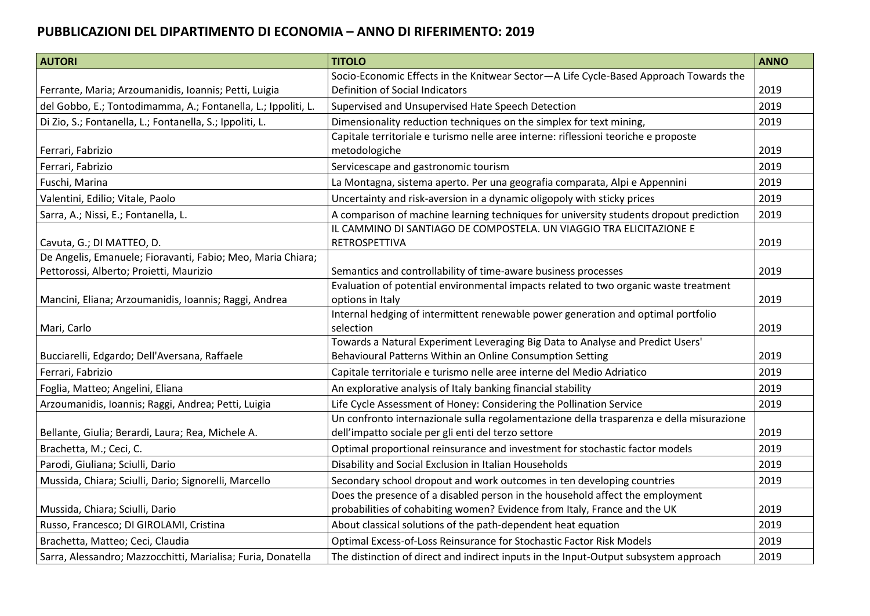## **PUBBLICAZIONI DEL DIPARTIMENTO DI ECONOMIA – ANNO DI RIFERIMENTO: 2019**

| <b>AUTORI</b>                                                 | <b>TITOLO</b>                                                                                                                                   | <b>ANNO</b> |
|---------------------------------------------------------------|-------------------------------------------------------------------------------------------------------------------------------------------------|-------------|
|                                                               | Socio-Economic Effects in the Knitwear Sector-A Life Cycle-Based Approach Towards the                                                           |             |
| Ferrante, Maria; Arzoumanidis, Ioannis; Petti, Luigia         | Definition of Social Indicators                                                                                                                 | 2019        |
| del Gobbo, E.; Tontodimamma, A.; Fontanella, L.; Ippoliti, L. | Supervised and Unsupervised Hate Speech Detection                                                                                               | 2019        |
| Di Zio, S.; Fontanella, L.; Fontanella, S.; Ippoliti, L.      | Dimensionality reduction techniques on the simplex for text mining,                                                                             | 2019        |
| Ferrari, Fabrizio                                             | Capitale territoriale e turismo nelle aree interne: riflessioni teoriche e proposte<br>metodologiche                                            | 2019        |
| Ferrari, Fabrizio                                             | Servicescape and gastronomic tourism                                                                                                            | 2019        |
| Fuschi, Marina                                                | La Montagna, sistema aperto. Per una geografia comparata, Alpi e Appennini                                                                      | 2019        |
| Valentini, Edilio; Vitale, Paolo                              | Uncertainty and risk-aversion in a dynamic oligopoly with sticky prices                                                                         | 2019        |
| Sarra, A.; Nissi, E.; Fontanella, L.                          | A comparison of machine learning techniques for university students dropout prediction                                                          | 2019        |
| Cavuta, G.; DI MATTEO, D.                                     | IL CAMMINO DI SANTIAGO DE COMPOSTELA. UN VIAGGIO TRA ELICITAZIONE E<br>RETROSPETTIVA                                                            | 2019        |
| De Angelis, Emanuele; Fioravanti, Fabio; Meo, Maria Chiara;   |                                                                                                                                                 |             |
| Pettorossi, Alberto; Proietti, Maurizio                       | Semantics and controllability of time-aware business processes                                                                                  | 2019        |
| Mancini, Eliana; Arzoumanidis, Ioannis; Raggi, Andrea         | Evaluation of potential environmental impacts related to two organic waste treatment<br>options in Italy                                        | 2019        |
| Mari, Carlo                                                   | Internal hedging of intermittent renewable power generation and optimal portfolio<br>selection                                                  | 2019        |
|                                                               | Towards a Natural Experiment Leveraging Big Data to Analyse and Predict Users'                                                                  |             |
| Bucciarelli, Edgardo; Dell'Aversana, Raffaele                 | Behavioural Patterns Within an Online Consumption Setting                                                                                       | 2019        |
| Ferrari, Fabrizio                                             | Capitale territoriale e turismo nelle aree interne del Medio Adriatico                                                                          | 2019        |
| Foglia, Matteo; Angelini, Eliana                              | An explorative analysis of Italy banking financial stability                                                                                    | 2019        |
| Arzoumanidis, Ioannis; Raggi, Andrea; Petti, Luigia           | Life Cycle Assessment of Honey: Considering the Pollination Service                                                                             | 2019        |
| Bellante, Giulia; Berardi, Laura; Rea, Michele A.             | Un confronto internazionale sulla regolamentazione della trasparenza e della misurazione<br>dell'impatto sociale per gli enti del terzo settore | 2019        |
| Brachetta, M.; Ceci, C.                                       | Optimal proportional reinsurance and investment for stochastic factor models                                                                    | 2019        |
| Parodi, Giuliana; Sciulli, Dario                              | Disability and Social Exclusion in Italian Households                                                                                           | 2019        |
| Mussida, Chiara; Sciulli, Dario; Signorelli, Marcello         | Secondary school dropout and work outcomes in ten developing countries                                                                          | 2019        |
|                                                               | Does the presence of a disabled person in the household affect the employment                                                                   |             |
| Mussida, Chiara; Sciulli, Dario                               | probabilities of cohabiting women? Evidence from Italy, France and the UK                                                                       | 2019        |
| Russo, Francesco; DI GIROLAMI, Cristina                       | About classical solutions of the path-dependent heat equation                                                                                   | 2019        |
| Brachetta, Matteo; Ceci, Claudia                              | Optimal Excess-of-Loss Reinsurance for Stochastic Factor Risk Models                                                                            | 2019        |
| Sarra, Alessandro; Mazzocchitti, Marialisa; Furia, Donatella  | The distinction of direct and indirect inputs in the Input-Output subsystem approach                                                            | 2019        |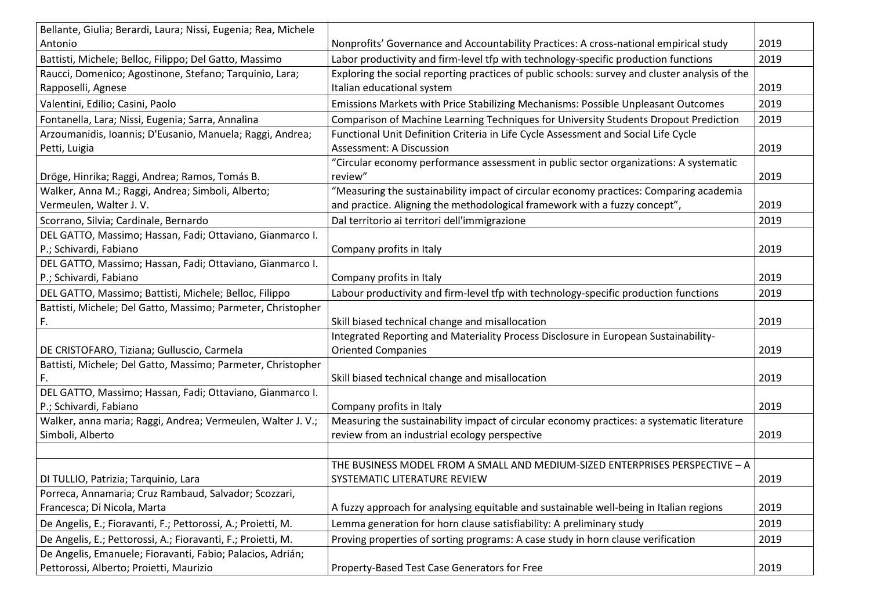| Bellante, Giulia; Berardi, Laura; Nissi, Eugenia; Rea, Michele |                                                                                                |      |
|----------------------------------------------------------------|------------------------------------------------------------------------------------------------|------|
| Antonio                                                        | Nonprofits' Governance and Accountability Practices: A cross-national empirical study          | 2019 |
| Battisti, Michele; Belloc, Filippo; Del Gatto, Massimo         | Labor productivity and firm-level tfp with technology-specific production functions            | 2019 |
| Raucci, Domenico; Agostinone, Stefano; Tarquinio, Lara;        | Exploring the social reporting practices of public schools: survey and cluster analysis of the |      |
| Rapposelli, Agnese                                             | Italian educational system                                                                     | 2019 |
| Valentini, Edilio; Casini, Paolo                               | Emissions Markets with Price Stabilizing Mechanisms: Possible Unpleasant Outcomes              | 2019 |
| Fontanella, Lara; Nissi, Eugenia; Sarra, Annalina              | Comparison of Machine Learning Techniques for University Students Dropout Prediction           | 2019 |
| Arzoumanidis, Ioannis; D'Eusanio, Manuela; Raggi, Andrea;      | Functional Unit Definition Criteria in Life Cycle Assessment and Social Life Cycle             |      |
| Petti, Luigia                                                  | Assessment: A Discussion                                                                       | 2019 |
|                                                                | "Circular economy performance assessment in public sector organizations: A systematic          |      |
| Dröge, Hinrika; Raggi, Andrea; Ramos, Tomás B.                 | review"                                                                                        | 2019 |
| Walker, Anna M.; Raggi, Andrea; Simboli, Alberto;              | "Measuring the sustainability impact of circular economy practices: Comparing academia         |      |
| Vermeulen, Walter J. V.                                        | and practice. Aligning the methodological framework with a fuzzy concept",                     | 2019 |
| Scorrano, Silvia; Cardinale, Bernardo                          | Dal territorio ai territori dell'immigrazione                                                  | 2019 |
| DEL GATTO, Massimo; Hassan, Fadi; Ottaviano, Gianmarco I.      |                                                                                                |      |
| P.; Schivardi, Fabiano                                         | Company profits in Italy                                                                       | 2019 |
| DEL GATTO, Massimo; Hassan, Fadi; Ottaviano, Gianmarco I.      |                                                                                                |      |
| P.; Schivardi, Fabiano                                         | Company profits in Italy                                                                       | 2019 |
| DEL GATTO, Massimo; Battisti, Michele; Belloc, Filippo         | Labour productivity and firm-level tfp with technology-specific production functions           | 2019 |
| Battisti, Michele; Del Gatto, Massimo; Parmeter, Christopher   |                                                                                                |      |
| F.                                                             | Skill biased technical change and misallocation                                                | 2019 |
|                                                                | Integrated Reporting and Materiality Process Disclosure in European Sustainability-            |      |
| DE CRISTOFARO, Tiziana; Gulluscio, Carmela                     | <b>Oriented Companies</b>                                                                      | 2019 |
| Battisti, Michele; Del Gatto, Massimo; Parmeter, Christopher   |                                                                                                |      |
| F.                                                             | Skill biased technical change and misallocation                                                | 2019 |
| DEL GATTO, Massimo; Hassan, Fadi; Ottaviano, Gianmarco I.      |                                                                                                |      |
| P.; Schivardi, Fabiano                                         | Company profits in Italy                                                                       | 2019 |
| Walker, anna maria; Raggi, Andrea; Vermeulen, Walter J. V.;    | Measuring the sustainability impact of circular economy practices: a systematic literature     |      |
| Simboli, Alberto                                               | review from an industrial ecology perspective                                                  | 2019 |
|                                                                |                                                                                                |      |
|                                                                | THE BUSINESS MODEL FROM A SMALL AND MEDIUM-SIZED ENTERPRISES PERSPECTIVE - A                   |      |
| DI TULLIO, Patrizia; Tarquinio, Lara                           | SYSTEMATIC LITERATURE REVIEW                                                                   | 2019 |
| Porreca, Annamaria; Cruz Rambaud, Salvador; Scozzari,          |                                                                                                |      |
| Francesca; Di Nicola, Marta                                    | A fuzzy approach for analysing equitable and sustainable well-being in Italian regions         | 2019 |
| De Angelis, E.; Fioravanti, F.; Pettorossi, A.; Proietti, M.   | Lemma generation for horn clause satisfiability: A preliminary study                           | 2019 |
| De Angelis, E.; Pettorossi, A.; Fioravanti, F.; Proietti, M.   | Proving properties of sorting programs: A case study in horn clause verification               | 2019 |
| De Angelis, Emanuele; Fioravanti, Fabio; Palacios, Adrián;     |                                                                                                |      |
| Pettorossi, Alberto; Proietti, Maurizio                        | Property-Based Test Case Generators for Free                                                   | 2019 |